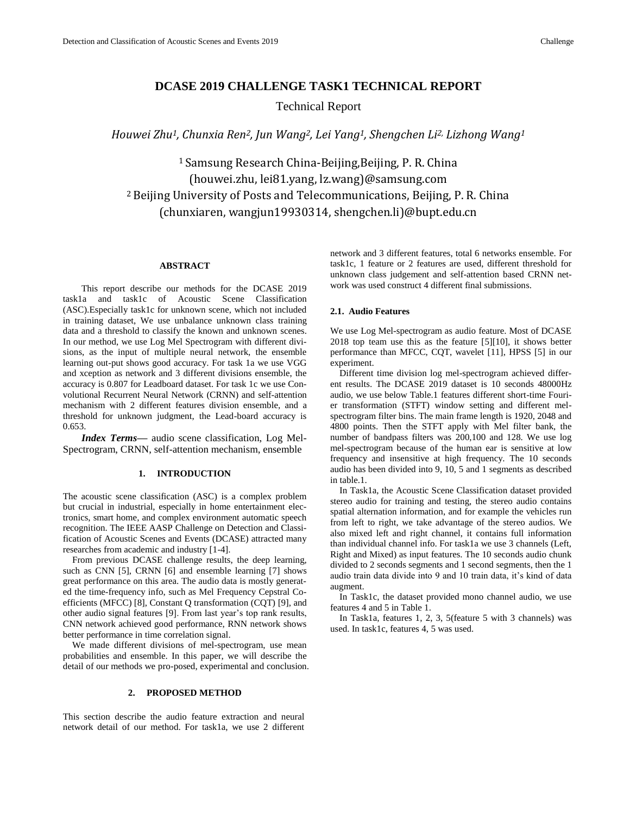# **DCASE 2019 CHALLENGE TASK1 TECHNICAL REPORT**

Technical Report

*Houwei Zhu1, Chunxia Ren2, Jun Wang2, Lei Yang1, Shengchen Li2, Lizhong Wang<sup>1</sup>*

<sup>1</sup> Samsung Research China-Beijing,Beijing, P. R. China (houwei.zhu, lei81.yang, lz.wang)@samsung.com <sup>2</sup>Beijing University of Posts and Telecommunications, Beijing, P. R. China (chunxiaren, wangjun19930314, shengchen.li)@bupt.edu.cn

# **ABSTRACT**

This report describe our methods for the DCASE 2019 task1a and task1c of Acoustic Scene Classification (ASC).Especially task1c for unknown scene, which not included in training dataset, We use unbalance unknown class training data and a threshold to classify the known and unknown scenes. In our method, we use Log Mel Spectrogram with different divisions, as the input of multiple neural network, the ensemble learning out-put shows good accuracy. For task 1a we use VGG and xception as network and 3 different divisions ensemble, the accuracy is 0.807 for Leadboard dataset. For task 1c we use Convolutional Recurrent Neural Network (CRNN) and self-attention mechanism with 2 different features division ensemble, and a threshold for unknown judgment, the Lead-board accuracy is 0.653.

*Index Terms—* audio scene classification, Log Mel-Spectrogram, CRNN, self-attention mechanism, ensemble

# **1. INTRODUCTION**

The acoustic scene classification (ASC) is a complex problem but crucial in industrial, especially in home entertainment electronics, smart home, and complex environment automatic speech recognition. The IEEE AASP Challenge on Detection and Classification of Acoustic Scenes and Events (DCASE) attracted many researches from academic and industry [1-4].

From previous DCASE challenge results, the deep learning, such as CNN [5], CRNN [6] and ensemble learning [7] shows great performance on this area. The audio data is mostly generated the time-frequency info, such as Mel Frequency Cepstral Coefficients (MFCC) [8], Constant Q transformation (CQT) [9], and other audio signal features [9]. From last year's top rank results, CNN network achieved good performance, RNN network shows better performance in time correlation signal.

We made different divisions of mel-spectrogram, use mean probabilities and ensemble. In this paper, we will describe the detail of our methods we pro-posed, experimental and conclusion.

# **2. PROPOSED METHOD**

This section describe the audio feature extraction and neural network detail of our method. For task1a, we use 2 different network and 3 different features, total 6 networks ensemble. For task1c, 1 feature or 2 features are used, different threshold for unknown class judgement and self-attention based CRNN network was used construct 4 different final submissions.

### **2.1. Audio Features**

We use Log Mel-spectrogram as audio feature. Most of DCASE 2018 top team use this as the feature [5][10], it shows better performance than MFCC, CQT, wavelet [11], HPSS [5] in our experiment.

Different time division log mel-spectrogram achieved different results. The DCASE 2019 dataset is 10 seconds 48000Hz audio, we use below Table.1 features different short-time Fourier transformation (STFT) window setting and different melspectrogram filter bins. The main frame length is 1920, 2048 and 4800 points. Then the STFT apply with Mel filter bank, the number of bandpass filters was 200,100 and 128. We use log mel-spectrogram because of the human ear is sensitive at low frequency and insensitive at high frequency. The 10 seconds audio has been divided into 9, 10, 5 and 1 segments as described in table.1.

In Task1a, the Acoustic Scene Classification dataset provided stereo audio for training and testing, the stereo audio contains spatial alternation information, and for example the vehicles run from left to right, we take advantage of the stereo audios. We also mixed left and right channel, it contains full information than individual channel info. For task1a we use 3 channels (Left, Right and Mixed) as input features. The 10 seconds audio chunk divided to 2 seconds segments and 1 second segments, then the 1 audio train data divide into 9 and 10 train data, it's kind of data augment.

In Task1c, the dataset provided mono channel audio, we use features 4 and 5 in Table 1.

In Task1a, features 1, 2, 3, 5(feature 5 with 3 channels) was used. In task1c, features 4, 5 was used.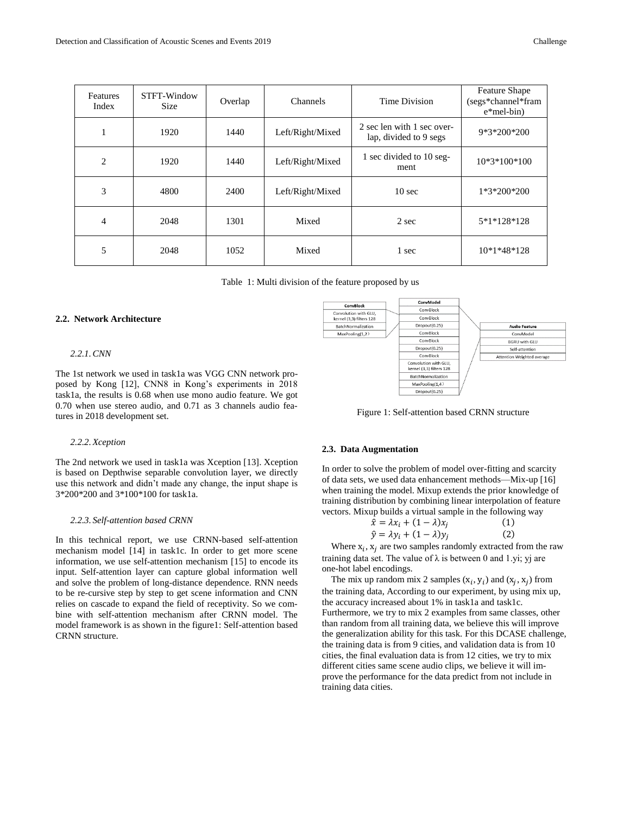| Features<br>Index | STFT-Window<br>Size | Overlap | Channels         | Time Division                                        | <b>Feature Shape</b><br>(segs*channel*fram)<br>$e*$ mel-bin) |
|-------------------|---------------------|---------|------------------|------------------------------------------------------|--------------------------------------------------------------|
|                   | 1920                | 1440    | Left/Right/Mixed | 2 sec len with 1 sec over-<br>lap, divided to 9 segs | 9*3*200*200                                                  |
| $\overline{2}$    | 1920                | 1440    | Left/Right/Mixed | 1 sec divided to 10 seg-<br>ment                     | $10*3*100*100$                                               |
| 3                 | 4800                | 2400    | Left/Right/Mixed | $10 \text{ sec}$                                     | 1*3*200*200                                                  |
| 4                 | 2048                | 1301    | Mixed            | 2 sec                                                | 5*1*128*128                                                  |
| 5                 | 2048                | 1052    | Mixed            | 1 sec                                                | $10*1*48*128$                                                |

Table 1: Multi division of the feature proposed by us

### **2.2. Network Architecture**

### *2.2.1.CNN*

The 1st network we used in task1a was VGG CNN network proposed by Kong [12], CNN8 in Kong's experiments in 2018 task1a, the results is 0.68 when use mono audio feature. We got 0.70 when use stereo audio, and 0.71 as 3 channels audio features in 2018 development set.

### *2.2.2.Xception*

The 2nd network we used in task1a was Xception [13]. Xception is based on Depthwise separable convolution layer, we directly use this network and didn't made any change, the input shape is 3\*200\*200 and 3\*100\*100 for task1a.

### *2.2.3. Self-attention based CRNN*

In this technical report, we use CRNN-based self-attention mechanism model [14] in task1c. In order to get more scene information, we use self-attention mechanism [15] to encode its input. Self-attention layer can capture global information well and solve the problem of long-distance dependence. RNN needs to be re-cursive step by step to get scene information and CNN relies on cascade to expand the field of receptivity. So we combine with self-attention mechanism after CRNN model. The model framework is as shown in the figure1: Self-attention based CRNN structure.



Figure 1: Self-attention based CRNN structure

#### **2.3. Data Augmentation**

In order to solve the problem of model over-fitting and scarcity of data sets, we used data enhancement methods—Mix-up [16] when training the model. Mixup extends the prior knowledge of training distribution by combining linear interpolation of feature vectors. Mixup builds a virtual sample in the following way

| $\hat{x} = \lambda x_i + (1 - \lambda)x_i$ | (1) |
|--------------------------------------------|-----|
| $\hat{y} = \lambda y_i + (1 - \lambda)y_i$ | (2) |

Where  $x_i$ ,  $x_j$  are two samples randomly extracted from the raw training data set. The value of  $\lambda$  is between 0 and 1.yi; yj are one-hot label encodings.

The mix up random mix 2 samples  $(x_i, y_i)$  and  $(x_j, x_j)$  from the training data, According to our experiment, by using mix up, the accuracy increased about 1% in task1a and task1c. Furthermore, we try to mix 2 examples from same classes, other than random from all training data, we believe this will improve the generalization ability for this task. For this DCASE challenge, the training data is from 9 cities, and validation data is from 10 cities, the final evaluation data is from 12 cities, we try to mix different cities same scene audio clips, we believe it will improve the performance for the data predict from not include in training data cities.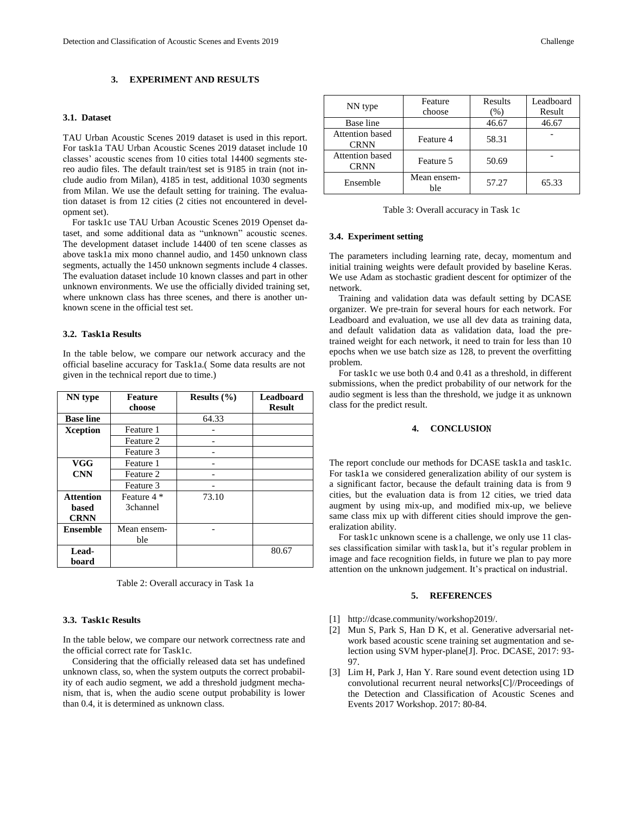# **3. EXPERIMENT AND RESULTS**

# **3.1. Dataset**

TAU Urban Acoustic Scenes 2019 dataset is used in this report. For task1a TAU Urban Acoustic Scenes 2019 dataset include 10 classes' acoustic scenes from 10 cities total 14400 segments stereo audio files. The default train/test set is 9185 in train (not include audio from Milan), 4185 in test, additional 1030 segments from Milan. We use the default setting for training. The evaluation dataset is from 12 cities (2 cities not encountered in development set).

For task1c use TAU Urban Acoustic Scenes 2019 Openset dataset, and some additional data as "unknown" acoustic scenes. The development dataset include 14400 of ten scene classes as above task1a mix mono channel audio, and 1450 unknown class segments, actually the 1450 unknown segments include 4 classes. The evaluation dataset include 10 known classes and part in other unknown environments. We use the officially divided training set, where unknown class has three scenes, and there is another unknown scene in the official test set.

# **3.2. Task1a Results**

In the table below, we compare our network accuracy and the official baseline accuracy for Task1a.( Some data results are not given in the technical report due to time.)

| NN type          | <b>Feature</b> | Results $(\% )$ | <b>Leadboard</b> |
|------------------|----------------|-----------------|------------------|
|                  | choose         |                 | <b>Result</b>    |
| <b>Base line</b> |                | 64.33           |                  |
| Xception         | Feature 1      |                 |                  |
|                  | Feature 2      |                 |                  |
|                  | Feature 3      |                 |                  |
| <b>VGG</b>       | Feature 1      |                 |                  |
| <b>CNN</b>       | Feature 2      |                 |                  |
|                  | Feature 3      |                 |                  |
| <b>Attention</b> | Feature 4 *    | 73.10           |                  |
| based            | 3channel       |                 |                  |
| <b>CRNN</b>      |                |                 |                  |
| <b>Ensemble</b>  | Mean ensem-    |                 |                  |
|                  | ble            |                 |                  |
| Lead-            |                |                 | 80.67            |
| board            |                |                 |                  |

Table 2: Overall accuracy in Task 1a

# **3.3. Task1c Results**

In the table below, we compare our network correctness rate and the official correct rate for Task1c.

Considering that the officially released data set has undefined unknown class, so, when the system outputs the correct probability of each audio segment, we add a threshold judgment mechanism, that is, when the audio scene output probability is lower than 0.4, it is determined as unknown class.

| NN type                               | Feature            | Results | Leadboard |
|---------------------------------------|--------------------|---------|-----------|
|                                       | choose             | $(\%)$  | Result    |
| Base line                             |                    | 46.67   | 46.67     |
| <b>Attention</b> based<br><b>CRNN</b> | Feature 4          | 58.31   |           |
| <b>Attention</b> based<br><b>CRNN</b> | Feature 5          | 50.69   |           |
| Ensemble                              | Mean ensem-<br>ble | 57.27   | 65.33     |

Table 3: Overall accuracy in Task 1c

# **3.4. Experiment setting**

The parameters including learning rate, decay, momentum and initial training weights were default provided by baseline Keras. We use Adam as stochastic gradient descent for optimizer of the network.

Training and validation data was default setting by DCASE organizer. We pre-train for several hours for each network. For Leadboard and evaluation, we use all dev data as training data, and default validation data as validation data, load the pretrained weight for each network, it need to train for less than 10 epochs when we use batch size as 128, to prevent the overfitting problem.

For task1c we use both 0.4 and 0.41 as a threshold, in different submissions, when the predict probability of our network for the audio segment is less than the threshold, we judge it as unknown class for the predict result.

# **4. CONCLUSIO**N

The report conclude our methods for DCASE task1a and task1c. For task1a we considered generalization ability of our system is a significant factor, because the default training data is from 9 cities, but the evaluation data is from 12 cities, we tried data augment by using mix-up, and modified mix-up, we believe same class mix up with different cities should improve the generalization ability.

For task1c unknown scene is a challenge, we only use 11 classes classification similar with task1a, but it's regular problem in image and face recognition fields, in future we plan to pay more attention on the unknown judgement. It's practical on industrial.

# **5. REFERENCES**

- [1] http://dcase.community/workshop2019/.
- [2] Mun S, Park S, Han D K, et al. Generative adversarial network based acoustic scene training set augmentation and selection using SVM hyper-plane[J]. Proc. DCASE, 2017: 93- 97.
- [3] Lim H, Park J, Han Y. Rare sound event detection using 1D convolutional recurrent neural networks[C]//Proceedings of the Detection and Classification of Acoustic Scenes and Events 2017 Workshop. 2017: 80-84.